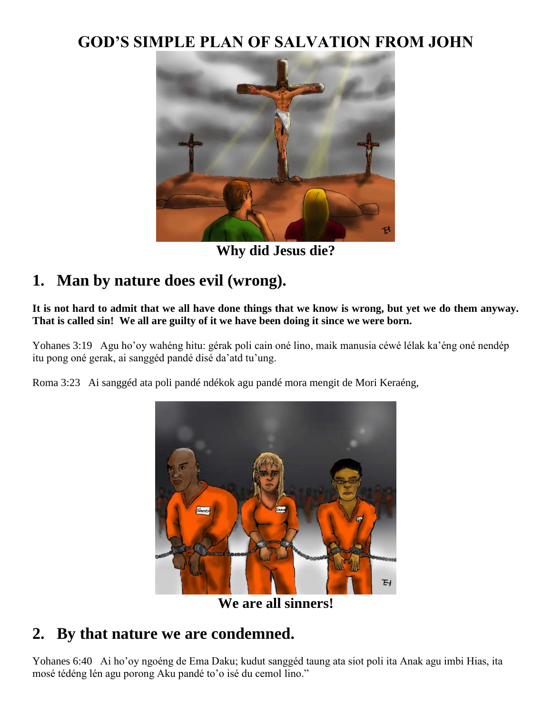## **GOD'S SIMPLE PLAN OF SALVATION FROM JOHN**



**Why did Jesus die?**

# **1. Man by nature does evil (wrong).**

**It is not hard to admit that we all have done things that we know is wrong, but yet we do them anyway. That is called sin! We all are guilty of it we have been doing it since we were born.**

Yohanes 3:19 Agu ho'oy wahéng hitu: gérak poli cain oné lino, maik manusia céwé lélak ka'éng oné nendép itu pong oné gerak, ai sanggéd pandé disé da'atd tu'ung.

Roma 3:23 Ai sanggéd ata poli pandé ndékok agu pandé mora mengit de Mori Keraéng,



**We are all sinners!**

#### **2. By that nature we are condemned.**

Yohanes 6:40 Ai ho'oy ngoéng de Ema Daku; kudut sanggéd taung ata siot poli ita Anak agu imbi Hias, ita mosé tédéng lén agu porong Aku pandé to'o isé du cemol lino."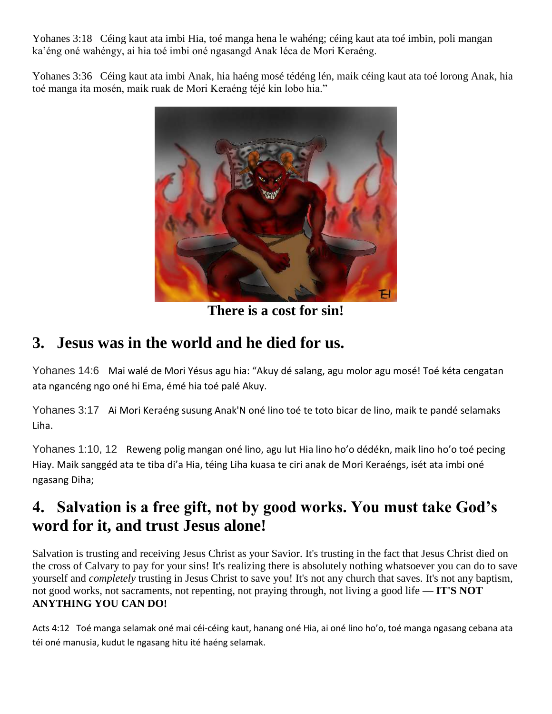Yohanes 3:18 Céing kaut ata imbi Hia, toé manga hena le wahéng; céing kaut ata toé imbin, poli mangan ka'éng oné wahéngy, ai hia toé imbi oné ngasangd Anak léca de Mori Keraéng.

Yohanes 3:36 Céing kaut ata imbi Anak, hia haéng mosé tédéng lén, maik céing kaut ata toé lorong Anak, hia toé manga ita mosén, maik ruak de Mori Keraéng téjé kin lobo hia."



**There is a cost for sin!**

### **3. Jesus was in the world and he died for us.**

Yohanes 14:6 Mai walé de Mori Yésus agu hia: "Akuy dé salang, agu molor agu mosé! Toé kéta cengatan ata ngancéng ngo oné hi Ema, émé hia toé palé Akuy.

Yohanes 3:17 Ai Mori Keraéng susung Anak'N oné lino toé te toto bicar de lino, maik te pandé selamaks Liha.

Yohanes 1:10, 12 Reweng polig mangan oné lino, agu lut Hia lino ho'o dédékn, maik lino ho'o toé pecing Hiay. Maik sanggéd ata te tiba di'a Hia, téing Liha kuasa te ciri anak de Mori Keraéngs, isét ata imbi oné ngasang Diha;

# **4. Salvation is a free gift, not by good works. You must take God's word for it, and trust Jesus alone!**

Salvation is trusting and receiving Jesus Christ as your Savior. It's trusting in the fact that Jesus Christ died on the cross of Calvary to pay for your sins! It's realizing there is absolutely nothing whatsoever you can do to save yourself and *completely* trusting in Jesus Christ to save you! It's not any church that saves. It's not any baptism, not good works, not sacraments, not repenting, not praying through, not living a good life — **IT'S NOT ANYTHING YOU CAN DO!**

Acts 4:12 Toé manga selamak oné mai céi-céing kaut, hanang oné Hia, ai oné lino ho'o, toé manga ngasang cebana ata téi oné manusia, kudut le ngasang hitu ité haéng selamak.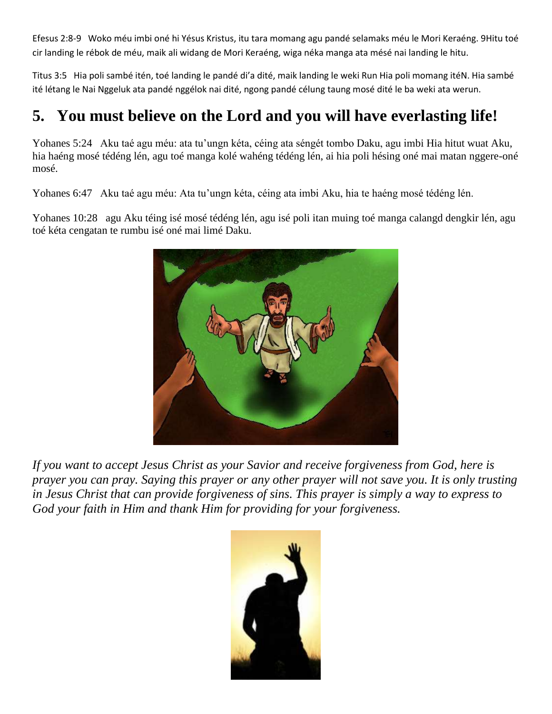Efesus 2:8-9 Woko méu imbi oné hi Yésus Kristus, itu tara momang agu pandé selamaks méu le Mori Keraéng. 9Hitu toé cir landing le rébok de méu, maik ali widang de Mori Keraéng, wiga néka manga ata mésé nai landing le hitu.

Titus 3:5 Hia poli sambé itén, toé landing le pandé di'a dité, maik landing le weki Run Hia poli momang itéN. Hia sambé ité létang le Nai Nggeluk ata pandé nggélok nai dité, ngong pandé célung taung mosé dité le ba weki ata werun.

## **5. You must believe on the Lord and you will have everlasting life!**

Yohanes 5:24 Aku taé agu méu: ata tu'ungn kéta, céing ata séngét tombo Daku, agu imbi Hia hitut wuat Aku, hia haéng mosé tédéng lén, agu toé manga kolé wahéng tédéng lén, ai hia poli hésing oné mai matan nggere-oné mosé.

Yohanes 6:47 Aku taé agu méu: Ata tu'ungn kéta, céing ata imbi Aku, hia te haéng mosé tédéng lén.

Yohanes 10:28 agu Aku téing isé mosé tédéng lén, agu isé poli itan muing toé manga calangd dengkir lén, agu toé kéta cengatan te rumbu isé oné mai limé Daku.



*If you want to accept Jesus Christ as your Savior and receive forgiveness from God, here is prayer you can pray. Saying this prayer or any other prayer will not save you. It is only trusting in Jesus Christ that can provide forgiveness of sins. This prayer is simply a way to express to God your faith in Him and thank Him for providing for your forgiveness.*